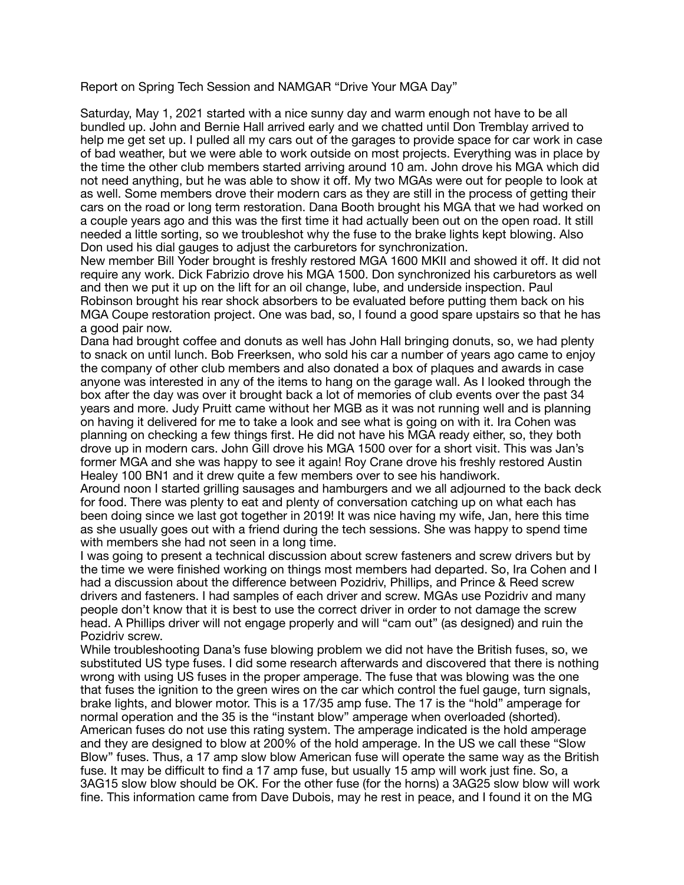Report on Spring Tech Session and NAMGAR "Drive Your MGA Day"

Saturday, May 1, 2021 started with a nice sunny day and warm enough not have to be all bundled up. John and Bernie Hall arrived early and we chatted until Don Tremblay arrived to help me get set up. I pulled all my cars out of the garages to provide space for car work in case of bad weather, but we were able to work outside on most projects. Everything was in place by the time the other club members started arriving around 10 am. John drove his MGA which did not need anything, but he was able to show it off. My two MGAs were out for people to look at as well. Some members drove their modern cars as they are still in the process of getting their cars on the road or long term restoration. Dana Booth brought his MGA that we had worked on a couple years ago and this was the first time it had actually been out on the open road. It still needed a little sorting, so we troubleshot why the fuse to the brake lights kept blowing. Also Don used his dial gauges to adjust the carburetors for synchronization.

New member Bill Yoder brought is freshly restored MGA 1600 MKII and showed it off. It did not require any work. Dick Fabrizio drove his MGA 1500. Don synchronized his carburetors as well and then we put it up on the lift for an oil change, lube, and underside inspection. Paul Robinson brought his rear shock absorbers to be evaluated before putting them back on his MGA Coupe restoration project. One was bad, so, I found a good spare upstairs so that he has a good pair now.

Dana had brought coffee and donuts as well has John Hall bringing donuts, so, we had plenty to snack on until lunch. Bob Freerksen, who sold his car a number of years ago came to enjoy the company of other club members and also donated a box of plaques and awards in case anyone was interested in any of the items to hang on the garage wall. As I looked through the box after the day was over it brought back a lot of memories of club events over the past 34 years and more. Judy Pruitt came without her MGB as it was not running well and is planning on having it delivered for me to take a look and see what is going on with it. Ira Cohen was planning on checking a few things first. He did not have his MGA ready either, so, they both drove up in modern cars. John Gill drove his MGA 1500 over for a short visit. This was Jan's former MGA and she was happy to see it again! Roy Crane drove his freshly restored Austin Healey 100 BN1 and it drew quite a few members over to see his handiwork.

Around noon I started grilling sausages and hamburgers and we all adjourned to the back deck for food. There was plenty to eat and plenty of conversation catching up on what each has been doing since we last got together in 2019! It was nice having my wife, Jan, here this time as she usually goes out with a friend during the tech sessions. She was happy to spend time with members she had not seen in a long time.

I was going to present a technical discussion about screw fasteners and screw drivers but by the time we were finished working on things most members had departed. So, Ira Cohen and I had a discussion about the difference between Pozidriv, Phillips, and Prince & Reed screw drivers and fasteners. I had samples of each driver and screw. MGAs use Pozidriv and many people don't know that it is best to use the correct driver in order to not damage the screw head. A Phillips driver will not engage properly and will "cam out" (as designed) and ruin the Pozidriv screw.

While troubleshooting Dana's fuse blowing problem we did not have the British fuses, so, we substituted US type fuses. I did some research afterwards and discovered that there is nothing wrong with using US fuses in the proper amperage. The fuse that was blowing was the one that fuses the ignition to the green wires on the car which control the fuel gauge, turn signals, brake lights, and blower motor. This is a 17/35 amp fuse. The 17 is the "hold" amperage for normal operation and the 35 is the "instant blow" amperage when overloaded (shorted). American fuses do not use this rating system. The amperage indicated is the hold amperage and they are designed to blow at 200% of the hold amperage. In the US we call these "Slow Blow" fuses. Thus, a 17 amp slow blow American fuse will operate the same way as the British fuse. It may be difficult to find a 17 amp fuse, but usually 15 amp will work just fine. So, a 3AG15 slow blow should be OK. For the other fuse (for the horns) a 3AG25 slow blow will work fine. This information came from Dave Dubois, may he rest in peace, and I found it on the MG